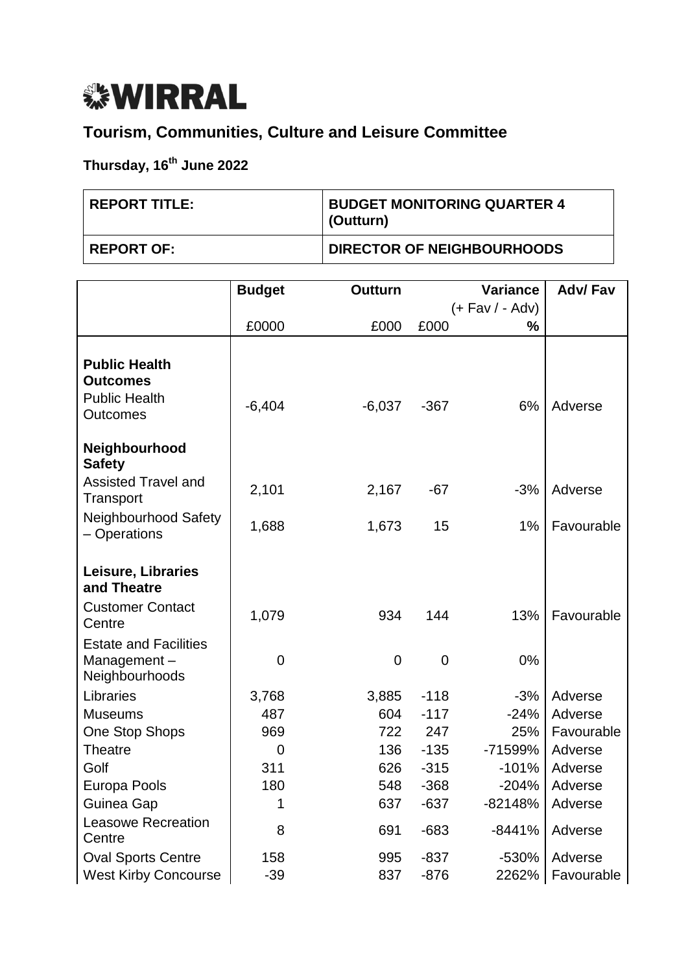## *<b><i>WIRRAL*

## **Tourism, Communities, Culture and Leisure Committee**

## **Thursday, 16th June 2022**

| <b>REPORT TITLE:</b> | <b>BUDGET MONITORING QUARTER 4</b><br>(Outturn) |
|----------------------|-------------------------------------------------|
| <b>REPORT OF:</b>    | <b>DIRECTOR OF NEIGHBOURHOODS</b>               |

|                                                                                    | <b>Budget</b>  | <b>Outturn</b> |        | <b>Variance</b>     | <b>Adv/Fav</b> |
|------------------------------------------------------------------------------------|----------------|----------------|--------|---------------------|----------------|
|                                                                                    |                |                |        | $(+$ Fav $/$ - Adv) |                |
|                                                                                    | £0000          | £000           | £000   | %                   |                |
| <b>Public Health</b><br><b>Outcomes</b><br><b>Public Health</b><br><b>Outcomes</b> | $-6,404$       | $-6,037$       | $-367$ | 6%                  | Adverse        |
| Neighbourhood<br><b>Safety</b>                                                     |                |                |        |                     |                |
| <b>Assisted Travel and</b><br>Transport                                            | 2,101          | 2,167          | $-67$  | $-3%$               | Adverse        |
| Neighbourhood Safety<br>- Operations                                               | 1,688          | 1,673          | 15     | 1%                  | Favourable     |
| Leisure, Libraries<br>and Theatre                                                  |                |                |        |                     |                |
| <b>Customer Contact</b><br>Centre                                                  | 1,079          | 934            | 144    | 13%                 | Favourable     |
| <b>Estate and Facilities</b><br>Management-<br>Neighbourhoods                      | $\overline{0}$ | $\mathbf 0$    | 0      | 0%                  |                |
| Libraries                                                                          | 3,768          | 3,885          | $-118$ | $-3%$               | Adverse        |
| <b>Museums</b>                                                                     | 487            | 604            | $-117$ | $-24%$              | Adverse        |
| <b>One Stop Shops</b>                                                              | 969            | 722            | 247    | 25%                 | Favourable     |
| <b>Theatre</b>                                                                     | $\overline{0}$ | 136            | $-135$ | -71599%             | Adverse        |
| Golf                                                                               | 311            | 626            | $-315$ | $-101%$             | Adverse        |
| Europa Pools                                                                       | 180            | 548            | $-368$ | $-204%$             | Adverse        |
| Guinea Gap                                                                         | 1              | 637            | $-637$ | $-82148%$           | Adverse        |
| <b>Leasowe Recreation</b><br>Centre                                                | 8              | 691            | $-683$ | $-8441%$            | Adverse        |
| <b>Oval Sports Centre</b>                                                          | 158            | 995            | $-837$ | $-530%$             | Adverse        |
| <b>West Kirby Concourse</b>                                                        | $-39$          | 837            | $-876$ | 2262%               | Favourable     |